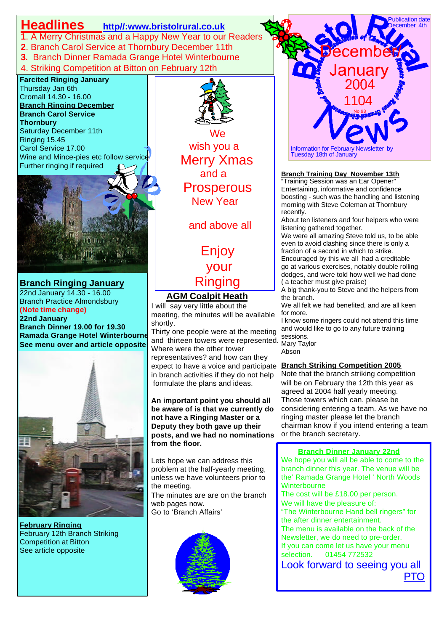## **Headlines http//:www.bristolrural.co.uk**

- **1**. A Merry Christmas and a Happy New Year to our Readers
- **2**. Branch Carol Service at Thornbury December 11th
- **3.** Branch Dinner Ramada Grange Hotel Winterbourne
- 4. Striking Competition at Bitton on February 12th

#### **Farcited Ringing January** Thursday Jan 6th Cromall 14.30 - 16.00 **Branch Ringing December Branch Carol Service Thornbury** Saturday December 11th Ringing 15.45

Carol Service 17.00 Wine and Mince-pies etc follow service Further ringing if required



**Branch Ringing January** 22nd January 14.30 - 16.00 Branch Practice Almondsbury **(Note time change) 22nd January Branch Dinner 19.00 for 19.30 Ramada Grange Hotel Winterbourne See menu over and article opposite**



**February Ringing** February 12th Branch Striking Competition at Bitton See article opposite



**Example 18 We**  wish you a Merry Xmas and a Prosperous New Year

and above all

 Enjoy your Ringing

## **AGM Coalpit Heath**

I will say very little about the meeting, the minutes will be available shortly.

Thirty one people were at the meeting and thirteen towers were represented. Many Tay Where were the other tower representatives? and how can they expect to have a voice and participate **Branch Striking Competition 2005** in branch activities if they do not help formulate the plans and ideas.

**An important point you should all be aware of is that we currently do not have a Ringing Master or a Deputy they both gave up their posts, and we had no nominations from the floor.**

Lets hope we can address this problem at the half-yearly meeting, unless we have volunteers prior to the meeting.

The minutes are are on the branch web pages now. Go to 'Branch Affairs'





### **Branch Training Day November 13th**

morning with Steve Coleman at Thornbury "Training Session was an Ear Opener" Entertaining, informative and confidence boosting - such was the handling and listening recently.

About ten listeners and four helpers who were listening gathered together.

We were all amazing Steve told us, to be able even to avoid clashing since there is only a fraction of a second in which to strike.

Encouraged by this we all had a creditable go at various exercises, notably double rolling dodges, and were told how well we had done ( a teacher must give praise)

A big thank-you to Steve and the helpers from the branch.

We all felt we had benefited, and are all keen for more.

I know some ringers could not attend this time and would like to go to any future training Mary Taylor

Abson

L

Note that the branch striking competition will be on February the 12th this year as agreed at 2004 half yearly meeting. Those towers which can, please be considering entering a team. As we have no ringing master please let the branch chairman know if you intend entering a team or the branch secretary.

#### **Branch Dinner January 22nd**

We hope you will all be able to come to the branch dinner this year. The venue will be the' Ramada Grange Hotel ' North Woods **Winterbourne** 

We will have the pleasure of: The cost will be £18.00 per person. "The Winterbourne Hand bell ringers" for the after dinner entertainment.

The menu is available on the back of the Newsletter, we do need to pre-order. If you can come let us have your menu selection. 01454 772532

Look forward to seeing you all **PTO** *PTO*